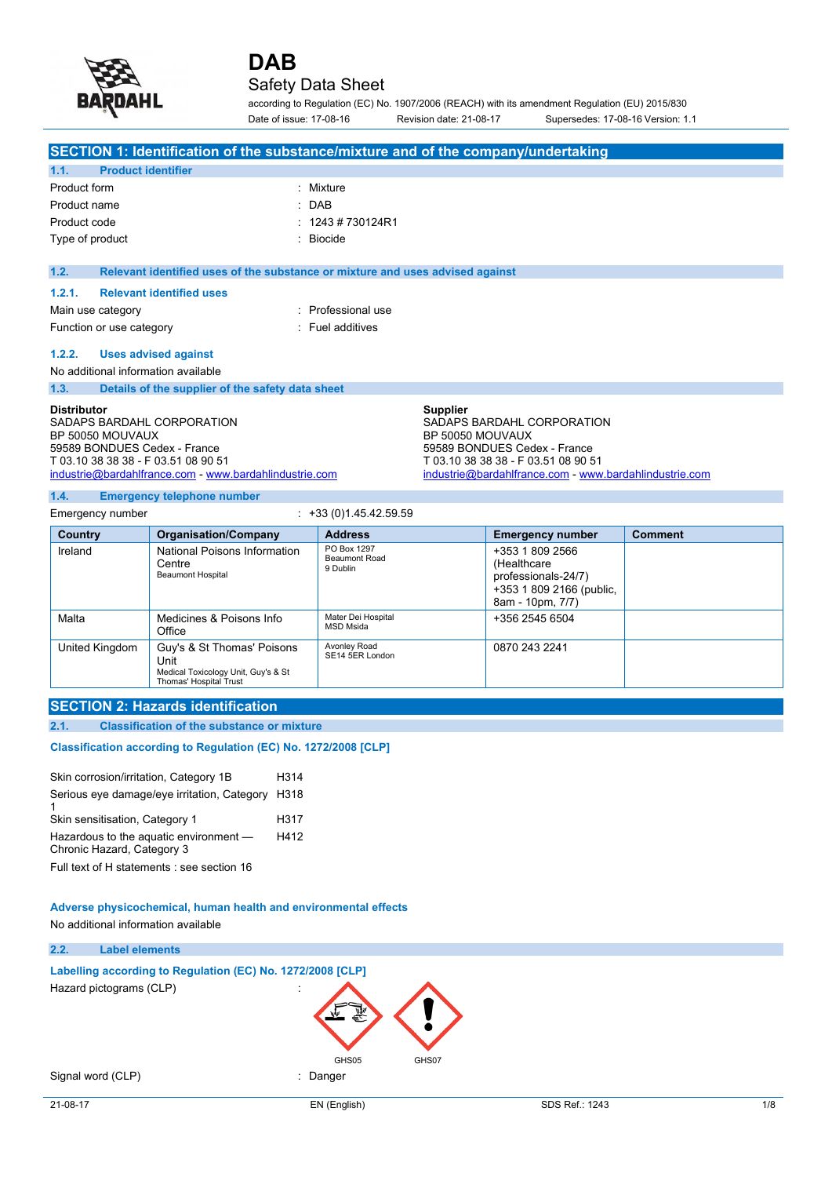

## Safety Data Sheet

according to Regulation (EC) No. 1907/2006 (REACH) with its amendment Regulation (EU) 2015/830 Date of issue: 17-08-16 Revision date: 21-08-17 Supersedes: 17-08-16 Version: 1.1

| SECTION 1: Identification of the substance/mixture and of the company/undertaking                                                                                                                     |                                                                               |                                                                                                                                                             |
|-------------------------------------------------------------------------------------------------------------------------------------------------------------------------------------------------------|-------------------------------------------------------------------------------|-------------------------------------------------------------------------------------------------------------------------------------------------------------|
| <b>Product identifier</b><br>1.1.                                                                                                                                                                     |                                                                               |                                                                                                                                                             |
| Product form                                                                                                                                                                                          | : Mixture                                                                     |                                                                                                                                                             |
| Product name                                                                                                                                                                                          | $:$ DAB                                                                       |                                                                                                                                                             |
| Product code                                                                                                                                                                                          | $: 1243 \# 730124R1$                                                          |                                                                                                                                                             |
| Type of product                                                                                                                                                                                       | $\therefore$ Biocide                                                          |                                                                                                                                                             |
| 1.2.                                                                                                                                                                                                  |                                                                               |                                                                                                                                                             |
|                                                                                                                                                                                                       | Relevant identified uses of the substance or mixture and uses advised against |                                                                                                                                                             |
| 1.2.1.<br><b>Relevant identified uses</b>                                                                                                                                                             |                                                                               |                                                                                                                                                             |
| Main use category                                                                                                                                                                                     | : Professional use                                                            |                                                                                                                                                             |
| Function or use category                                                                                                                                                                              | : Fuel additives                                                              |                                                                                                                                                             |
| <b>Uses advised against</b><br>1.2.2.                                                                                                                                                                 |                                                                               |                                                                                                                                                             |
| No additional information available                                                                                                                                                                   |                                                                               |                                                                                                                                                             |
| 1.3.<br>Details of the supplier of the safety data sheet                                                                                                                                              |                                                                               |                                                                                                                                                             |
| <b>Distributor</b><br>SADAPS BARDAHL CORPORATION<br>BP 50050 MOUVAUX<br>59589 BONDUES Cedex - France<br>T 03.10 38 38 38 - F 03.51 08 90 51<br>industrie@bardahlfrance.com - www.bardahlindustrie.com | <b>Supplier</b><br>BP 50050 MOUVAUX                                           | SADAPS BARDAHL CORPORATION<br>59589 BONDUES Cedex - France<br>T 03.10 38 38 38 - F 03.51 08 90 51<br>industrie@bardahlfrance.com - www.bardahlindustrie.com |

#### **1.4. Emergency telephone number**

Emergency number : +33 (0) 1.45.42.59.59 **Country Organisation/Company Address Emergency number Comment** Ireland **National Poisons Information Centre** Beaumont Hospital PO Box 1297 Beaumont Road 9 Dublin +353 1 809 2566 (Healthcare professionals-24/7) +353 1 809 2166 (public, 8am - 10pm, 7/7) Malta Medicines & Poisons Info **Office** Mater Dei Hospital MSD Msida +356 2545 6504 United Kingdom | Guy's & St Thomas' Poisons Unit Medical Toxicology Unit, Guy's & St Thomas' Hospital Trust Avonley Road SE14 5ER London 0870 243 2241

#### **SECTION 2: Hazards identification**

**2.1. Classification of the substance or mixture**

#### Classification according to Regulation (EC) No. 1272/2008 [CLP]

| Skin corrosion/irritation, Category 1B                               | H314 |  |
|----------------------------------------------------------------------|------|--|
| Serious eye damage/eye irritation, Category                          | H318 |  |
| Skin sensitisation, Category 1                                       | H317 |  |
| Hazardous to the aquatic environment -<br>Chronic Hazard, Category 3 | H412 |  |
| Full text of H statements see section 16                             |      |  |

#### **Adverse physicochemical, human health and environmental effects**

No additional information available

#### **2.2. Label elements**

**Labelling** according to Regulation (EC) No. 1272/2008 [CLP] Hazard pictograms (CLP) :

Signal word (CLP) in the state of the Signal word (CLP) in the state of the state of the Signal state of the S

GHS05 GHS07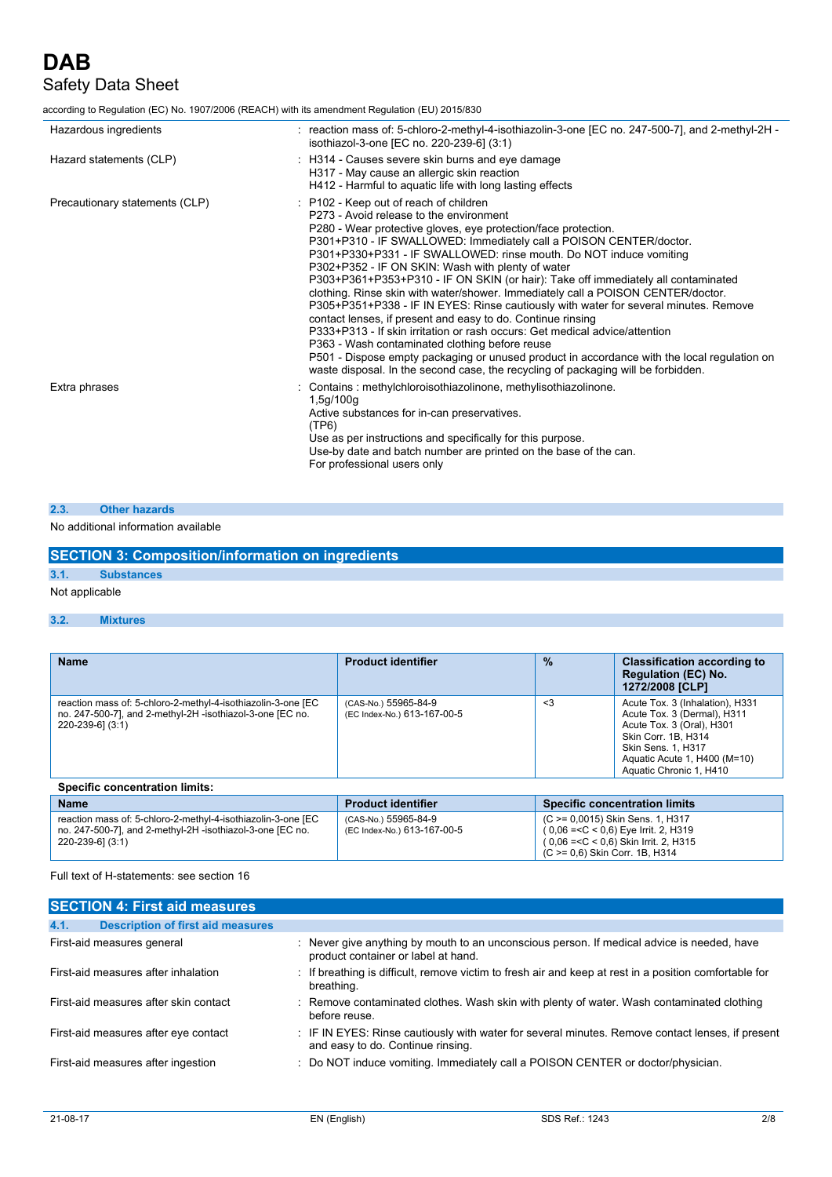# **DAB** Safety Data Sheet

according to Regulation (EC) No. 1907/2006 (REACH) with its amendment Regulation (EU) 2015/830

| Hazardous ingredients          | : reaction mass of: 5-chloro-2-methyl-4-isothiazolin-3-one [EC no. 247-500-7], and 2-methyl-2H -<br>isothiazol-3-one [EC no. 220-239-6] (3:1)                                                                                                                                                                                                                                                                                                                                                                                                                                                                                                                                                                                                                                                                                                                                                                                                                                                             |
|--------------------------------|-----------------------------------------------------------------------------------------------------------------------------------------------------------------------------------------------------------------------------------------------------------------------------------------------------------------------------------------------------------------------------------------------------------------------------------------------------------------------------------------------------------------------------------------------------------------------------------------------------------------------------------------------------------------------------------------------------------------------------------------------------------------------------------------------------------------------------------------------------------------------------------------------------------------------------------------------------------------------------------------------------------|
| Hazard statements (CLP)        | : H314 - Causes severe skin burns and eye damage<br>H317 - May cause an allergic skin reaction<br>H412 - Harmful to aquatic life with long lasting effects                                                                                                                                                                                                                                                                                                                                                                                                                                                                                                                                                                                                                                                                                                                                                                                                                                                |
| Precautionary statements (CLP) | : P102 - Keep out of reach of children<br>P273 - Avoid release to the environment<br>P280 - Wear protective gloves, eye protection/face protection.<br>P301+P310 - IF SWALLOWED: Immediately call a POISON CENTER/doctor.<br>P301+P330+P331 - IF SWALLOWED: rinse mouth. Do NOT induce vomiting<br>P302+P352 - IF ON SKIN: Wash with plenty of water<br>P303+P361+P353+P310 - IF ON SKIN (or hair): Take off immediately all contaminated<br>clothing. Rinse skin with water/shower. Immediately call a POISON CENTER/doctor.<br>P305+P351+P338 - IF IN EYES: Rinse cautiously with water for several minutes. Remove<br>contact lenses, if present and easy to do. Continue rinsing<br>P333+P313 - If skin irritation or rash occurs: Get medical advice/attention<br>P363 - Wash contaminated clothing before reuse<br>P501 - Dispose empty packaging or unused product in accordance with the local regulation on<br>waste disposal. In the second case, the recycling of packaging will be forbidden. |
| Extra phrases                  | Contains: methylchloroisothiazolinone, methylisothiazolinone.<br>1,5q/100q<br>Active substances for in-can preservatives.<br>(TP6)<br>Use as per instructions and specifically for this purpose.<br>Use-by date and batch number are printed on the base of the can.<br>For professional users only                                                                                                                                                                                                                                                                                                                                                                                                                                                                                                                                                                                                                                                                                                       |

#### **2.3. Other hazards**

#### No additional information available

|                           | <b>SECTION 3: Composition/information on ingredients</b> |
|---------------------------|----------------------------------------------------------|
| 3.1.<br><b>Substances</b> |                                                          |
|                           |                                                          |

#### Not applicable

#### **3.2. Mixtures**

| <b>Name</b>                                                                                                                                   | <b>Product identifier</b>                           | $\frac{9}{6}$ | <b>Classification according to</b><br><b>Regulation (EC) No.</b><br>1272/2008 [CLP]                                                                                                                        |  |
|-----------------------------------------------------------------------------------------------------------------------------------------------|-----------------------------------------------------|---------------|------------------------------------------------------------------------------------------------------------------------------------------------------------------------------------------------------------|--|
| reaction mass of: 5-chloro-2-methyl-4-isothiazolin-3-one [EC<br>no. 247-500-7], and 2-methyl-2H -isothiazol-3-one [EC no.<br>220-239-61 (3:1) | (CAS-No.) 55965-84-9<br>(EC Index-No.) 613-167-00-5 | $\leq$ 3      | Acute Tox. 3 (Inhalation), H331<br>Acute Tox. 3 (Dermal), H311<br>Acute Tox. 3 (Oral), H301<br>Skin Corr. 1B. H314<br><b>Skin Sens. 1. H317</b><br>Aquatic Acute 1, H400 (M=10)<br>Aquatic Chronic 1, H410 |  |
| <b>Specific concentration limits:</b>                                                                                                         |                                                     |               |                                                                                                                                                                                                            |  |
| <b>Name</b>                                                                                                                                   | <b>Product identifier</b>                           |               | <b>Specific concentration limits</b>                                                                                                                                                                       |  |
|                                                                                                                                               |                                                     |               |                                                                                                                                                                                                            |  |

| reaction mass of: 5-chloro-2-methyl-4-isothiazolin-3-one [EC | (CAS-No.) 55965-84-9        | $(C \ge 0.0015)$ Skin Sens. 1, H317      |
|--------------------------------------------------------------|-----------------------------|------------------------------------------|
| no. 247-500-7], and 2-methyl-2H -isothiazol-3-one [EC no.    | (EC Index-No.) 613-167-00-5 | $(0.06 = < C < 0.6)$ Eye Irrit. 2, H319  |
| $220 - 239 - 6$ ] $(3:1)$                                    |                             | $(0.06 = < C < 0.6)$ Skin Irrit. 2, H315 |
|                                                              |                             | $(C \ge 0.6)$ Skin Corr. 1B, H314        |
|                                                              |                             |                                          |

Full text of H-statements: see section 16

| <b>SECTION 4: First aid measures</b>             |                                                                                                                                       |
|--------------------------------------------------|---------------------------------------------------------------------------------------------------------------------------------------|
| <b>Description of first aid measures</b><br>4.1. |                                                                                                                                       |
| First-aid measures general                       | : Never give anything by mouth to an unconscious person. If medical advice is needed, have<br>product container or label at hand.     |
| First-aid measures after inhalation              | If breathing is difficult, remove victim to fresh air and keep at rest in a position comfortable for<br>breathing.                    |
| First-aid measures after skin contact            | : Remove contaminated clothes. Wash skin with plenty of water. Wash contaminated clothing<br>before reuse.                            |
| First-aid measures after eye contact             | : IF IN EYES: Rinse cautiously with water for several minutes. Remove contact lenses, if present<br>and easy to do. Continue rinsing. |
| First-aid measures after ingestion               | : Do NOT induce vomiting. Immediately call a POISON CENTER or doctor/physician.                                                       |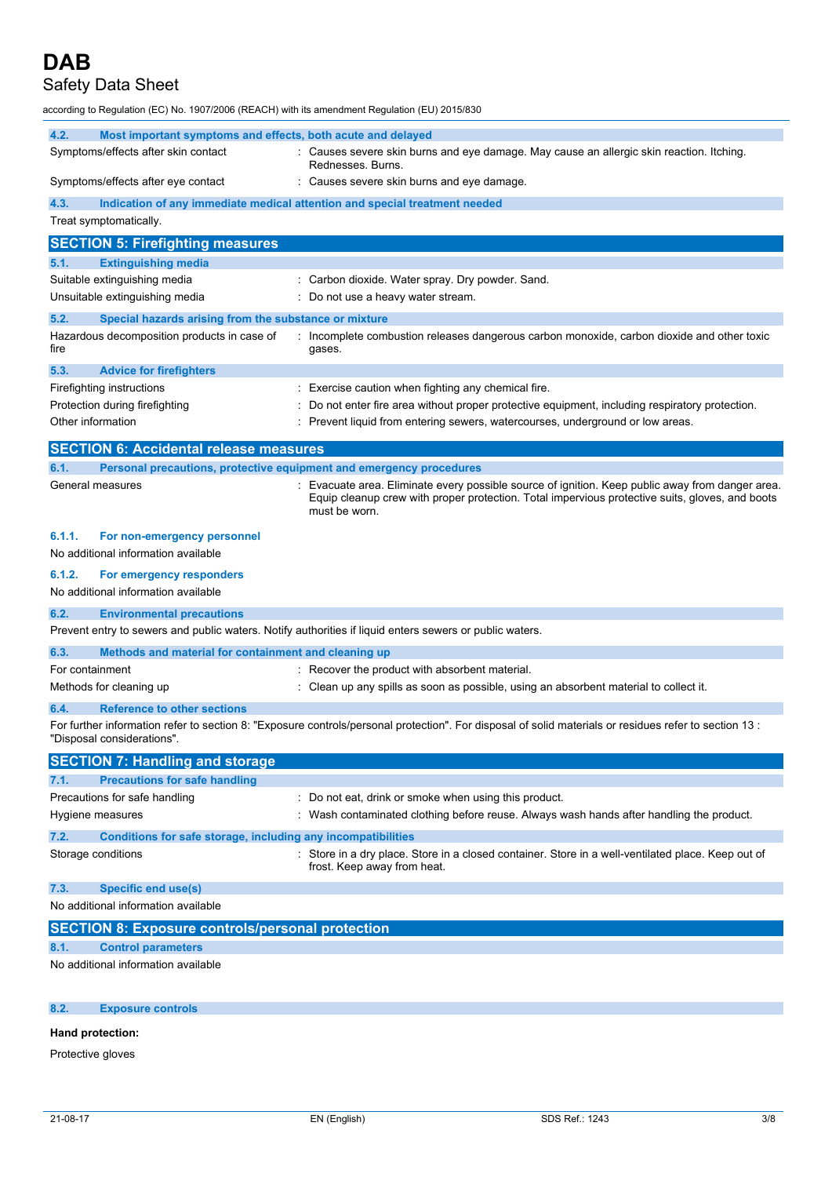## Safety Data Sheet

according to Regulation (EC) No. 1907/2006 (REACH) with its amendment Regulation (EU) 2015/830

| 4.2.              | Most important symptoms and effects, both acute and delayed         |                                                                                                                                                                                                                    |
|-------------------|---------------------------------------------------------------------|--------------------------------------------------------------------------------------------------------------------------------------------------------------------------------------------------------------------|
|                   | Symptoms/effects after skin contact                                 | : Causes severe skin burns and eye damage. May cause an allergic skin reaction. Itching.<br>Rednesses. Burns.                                                                                                      |
|                   | Symptoms/effects after eye contact                                  | Causes severe skin burns and eye damage.                                                                                                                                                                           |
| 4.3.              |                                                                     | Indication of any immediate medical attention and special treatment needed                                                                                                                                         |
|                   | Treat symptomatically.                                              |                                                                                                                                                                                                                    |
|                   | <b>SECTION 5: Firefighting measures</b>                             |                                                                                                                                                                                                                    |
| 5.1.              | <b>Extinguishing media</b>                                          |                                                                                                                                                                                                                    |
|                   | Suitable extinguishing media                                        | : Carbon dioxide. Water spray. Dry powder. Sand.                                                                                                                                                                   |
|                   | Unsuitable extinguishing media                                      | : Do not use a heavy water stream.                                                                                                                                                                                 |
| 5.2.              | Special hazards arising from the substance or mixture               |                                                                                                                                                                                                                    |
| fire              | Hazardous decomposition products in case of                         | Incomplete combustion releases dangerous carbon monoxide, carbon dioxide and other toxic<br>gases.                                                                                                                 |
| 5.3.              | <b>Advice for firefighters</b>                                      |                                                                                                                                                                                                                    |
|                   | Firefighting instructions                                           | Exercise caution when fighting any chemical fire.                                                                                                                                                                  |
|                   | Protection during firefighting                                      | Do not enter fire area without proper protective equipment, including respiratory protection.                                                                                                                      |
| Other information |                                                                     | Prevent liquid from entering sewers, watercourses, underground or low areas.                                                                                                                                       |
|                   | <b>SECTION 6: Accidental release measures</b>                       |                                                                                                                                                                                                                    |
| 6.1.              | Personal precautions, protective equipment and emergency procedures |                                                                                                                                                                                                                    |
|                   | General measures                                                    | Evacuate area. Eliminate every possible source of ignition. Keep public away from danger area.<br>Equip cleanup crew with proper protection. Total impervious protective suits, gloves, and boots<br>must be worn. |
| 6.1.1.            | For non-emergency personnel                                         |                                                                                                                                                                                                                    |
|                   | No additional information available                                 |                                                                                                                                                                                                                    |
| 6.1.2.            | For emergency responders                                            |                                                                                                                                                                                                                    |
|                   | No additional information available                                 |                                                                                                                                                                                                                    |
| 6.2.              | <b>Environmental precautions</b>                                    |                                                                                                                                                                                                                    |
|                   |                                                                     | Prevent entry to sewers and public waters. Notify authorities if liquid enters sewers or public waters.                                                                                                            |
| 6.3.              | Methods and material for containment and cleaning up                |                                                                                                                                                                                                                    |
| For containment   |                                                                     | : Recover the product with absorbent material.                                                                                                                                                                     |
|                   | Methods for cleaning up                                             | : Clean up any spills as soon as possible, using an absorbent material to collect it.                                                                                                                              |
| 6.4.              | <b>Reference to other sections</b>                                  |                                                                                                                                                                                                                    |
|                   | "Disposal considerations".                                          | For further information refer to section 8: "Exposure controls/personal protection". For disposal of solid materials or residues refer to section 13 :                                                             |
|                   | <b>SECTION 7: Handling and storage</b>                              |                                                                                                                                                                                                                    |
| 7.1.              | <b>Precautions for safe handling</b>                                |                                                                                                                                                                                                                    |
|                   | Precautions for safe handling                                       | : Do not eat, drink or smoke when using this product.                                                                                                                                                              |
|                   | Hygiene measures                                                    | : Wash contaminated clothing before reuse. Always wash hands after handling the product.                                                                                                                           |
| 7.2.              | Conditions for safe storage, including any incompatibilities        |                                                                                                                                                                                                                    |
|                   | Storage conditions                                                  | Store in a dry place. Store in a closed container. Store in a well-ventilated place. Keep out of<br>frost. Keep away from heat.                                                                                    |
| 7.3.              | <b>Specific end use(s)</b>                                          |                                                                                                                                                                                                                    |
|                   | No additional information available                                 |                                                                                                                                                                                                                    |
|                   | <b>SECTION 8: Exposure controls/personal protection</b>             |                                                                                                                                                                                                                    |
| 8.1.              | <b>Control parameters</b>                                           |                                                                                                                                                                                                                    |
|                   | No additional information available                                 |                                                                                                                                                                                                                    |

#### **8.2. Exposure controls**

#### **Hand protection:**

Protective gloves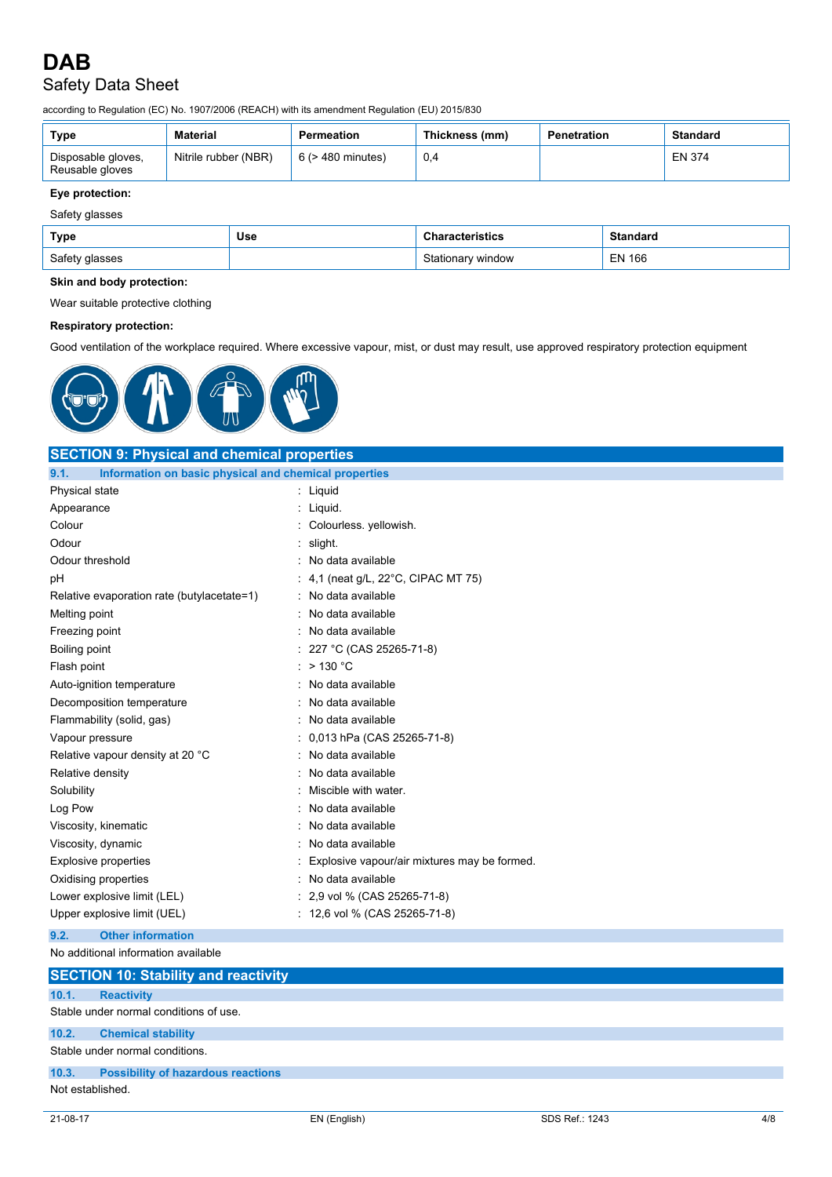# Safety Data Sheet

according to Regulation (EC) No. 1907/2006 (REACH) with its amendment Regulation (EU) 2015/830

| Type                                  | Material             | <b>Permeation</b>      | Thickness (mm) | Penetration | Standard |
|---------------------------------------|----------------------|------------------------|----------------|-------------|----------|
| Disposable gloves,<br>Reusable gloves | Nitrile rubber (NBR) | $6$ ( $>$ 480 minutes) |                |             | EN 374   |

## **Eye protection:**

| Type           | Use | <b>Characteristics</b> | <b>Standard</b> |
|----------------|-----|------------------------|-----------------|
| Safety glasses |     | Stationary window      | EN 166          |

#### **Skin and body protection:**

Wear suitable protective clothing

#### **Respiratory protection:**

Good ventilation of the workplace required. Where excessive vapour, mist, or dust may result, use approved respiratory protection equipment



### **SECTION 9: Physical and chemical properties 9.1. Information on basic physical and chemical properties** Physical state : Liquid Appearance : Liquid. Colour : Colourless. yellowish. Odour : slight. Odour threshold **in the set of the set of the set of the set of the set of the set of the set of the set of the set of the set of the set of the set of the set of the set of the set of the set of the set of the set of the** pH : 4,1 (neat g/L, 22°C, CIPAC MT 75) Relative evaporation rate (butylacetate=1) : No data available Melting point **in the case of the case of the case of the case of the case of the case of the case of the case of the case of the case of the case of the case of the case of the case of the case of the case of the case of** Freezing point **in the case of the case of the case of the case of the case of the case of the case of the case of the case of the case of the case of the case of the case of the case of the case of the case of the case of** Boiling point : 227 °C (CAS 25265-71-8) Flash point  $\cdot$  > 130 °C Auto-ignition temperature **interest and the Contract Contract Auto-** : No data available Decomposition temperature **interest and the Composition temperature** in the second of the North Australian Compo Flammability (solid, gas) **in the set of the Contract Contract Contract Contract Contract Contract Contract Contract Contract Contract Contract Contract Contract Contract Contract Contract Contract Contract Contract Contra** Vapour pressure : 0,013 hPa (CAS 25265-71-8) Relative vapour density at 20 °C : No data available Relative density **in the case of the COV** Relative density **in the COV** Relative density Solubility : Miscible with water. Log Pow **:** No data available Viscosity, kinematic **intervalse in the Contract of Contract Available** : No data available Viscosity, dynamic **interest in the Contract of Contract Contract Contract Contract Contract Contract Contract Contract Contract Contract Contract Contract Contract Contract Contract Contract Contract Contract Contract Con** Explosive properties **EXPLOSIVE 1998** : Explosive vapour/air mixtures may be formed. Oxidising properties **in the Contract of Contract Automobile** : No data available Lower explosive limit (LEL)  $\qquad \qquad$  : 2,9 vol % (CAS 25265-71-8) Upper explosive limit (UEL)  $\qquad \qquad$  : 12,6 vol % (CAS 25265-71-8) **9.2. Other information** No additional information available **SECTION 10: Stability and reactivity**

## **10.1. Reactivity** Stable under normal conditions of use. **10.2. Chemical stability** Stable under normal conditions. **10.3. Possibility of hazardous reactions** Not established.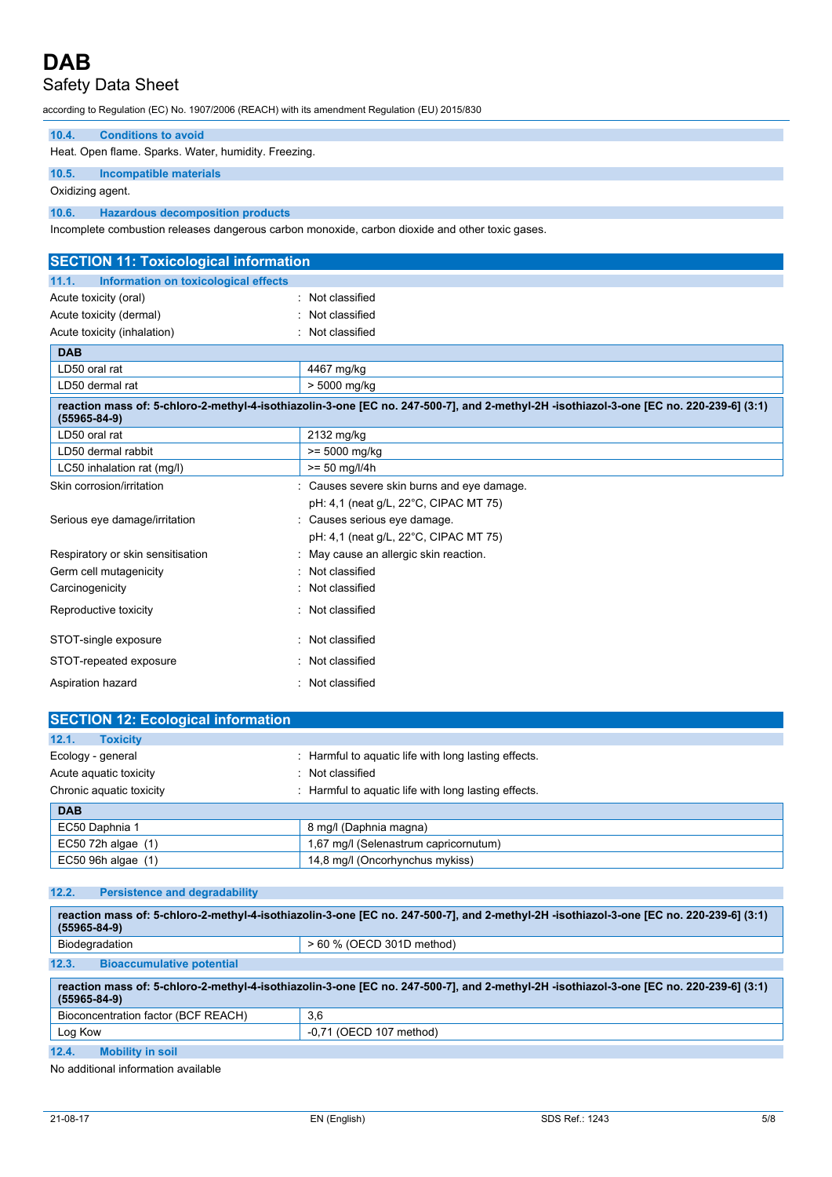# Safety Data Sheet

| according to Regulation (EC) No. 1907/2006 (REACH) with its amendment Regulation (EU) 2015/830  |                                                                                                                                         |  |
|-------------------------------------------------------------------------------------------------|-----------------------------------------------------------------------------------------------------------------------------------------|--|
| <b>Conditions to avoid</b><br>10.4.                                                             |                                                                                                                                         |  |
| Heat. Open flame. Sparks. Water, humidity. Freezing.                                            |                                                                                                                                         |  |
| 10.5.<br><b>Incompatible materials</b>                                                          |                                                                                                                                         |  |
| Oxidizing agent.                                                                                |                                                                                                                                         |  |
| 10.6.<br><b>Hazardous decomposition products</b>                                                |                                                                                                                                         |  |
| Incomplete combustion releases dangerous carbon monoxide, carbon dioxide and other toxic gases. |                                                                                                                                         |  |
|                                                                                                 |                                                                                                                                         |  |
| <b>SECTION 11: Toxicological information</b>                                                    |                                                                                                                                         |  |
| 11.1.<br>Information on toxicological effects                                                   |                                                                                                                                         |  |
| Acute toxicity (oral)                                                                           | Not classified                                                                                                                          |  |
| Acute toxicity (dermal)                                                                         | : Not classified                                                                                                                        |  |
| Acute toxicity (inhalation)                                                                     | : Not classified                                                                                                                        |  |
| <b>DAB</b>                                                                                      |                                                                                                                                         |  |
| LD50 oral rat                                                                                   | 4467 mg/kg                                                                                                                              |  |
| LD50 dermal rat                                                                                 | > 5000 mg/kg                                                                                                                            |  |
| $(55965 - 84 - 9)$                                                                              | reaction mass of: 5-chloro-2-methyl-4-isothiazolin-3-one [EC no. 247-500-7], and 2-methyl-2H -isothiazol-3-one [EC no. 220-239-6] (3:1) |  |
| LD50 oral rat                                                                                   | 2132 mg/kg                                                                                                                              |  |
| LD50 dermal rabbit                                                                              | $>= 5000$ mg/kg                                                                                                                         |  |
| LC50 inhalation rat (mg/l)                                                                      | $>= 50$ mg/l/4h                                                                                                                         |  |
| Skin corrosion/irritation                                                                       | : Causes severe skin burns and eye damage.                                                                                              |  |
|                                                                                                 | pH: 4,1 (neat g/L, 22°C, CIPAC MT 75)                                                                                                   |  |
| Serious eye damage/irritation                                                                   | : Causes serious eye damage.                                                                                                            |  |
|                                                                                                 | pH: 4,1 (neat g/L, 22°C, CIPAC MT 75)                                                                                                   |  |
| Respiratory or skin sensitisation                                                               | May cause an allergic skin reaction.                                                                                                    |  |
| Germ cell mutagenicity                                                                          | Not classified                                                                                                                          |  |
| Carcinogenicity                                                                                 | Not classified                                                                                                                          |  |
| Reproductive toxicity                                                                           | : Not classified                                                                                                                        |  |

| STOT-single exposure   | : Not classified |
|------------------------|------------------|
| STOT-repeated exposure | : Not classified |
| Aspiration hazard      | Not classified   |

EC50 96h algae (1) 14,8 mg/l (Oncorhynchus mykiss)

| <b>SECTION 12: Ecological information</b> |                                                      |
|-------------------------------------------|------------------------------------------------------|
| 12.1.<br><b>Toxicity</b>                  |                                                      |
| Ecology - general                         | : Harmful to aquatic life with long lasting effects. |
| Acute aquatic toxicity                    | Not classified                                       |
| Chronic aquatic toxicity                  | : Harmful to aquatic life with long lasting effects. |
| <b>DAB</b>                                |                                                      |
| EC50 Daphnia 1                            | 8 mg/l (Daphnia magna)                               |
| EC50 72h algae $(1)$                      | 1,67 mg/l (Selenastrum capricornutum)                |

### **12.2. Persistence and degradability**

| reaction mass of: 5-chloro-2-methyl-4-isothiazolin-3-one [EC no. 247-500-7], and 2-methyl-2H -isothiazol-3-one [EC no. 220-239-6] (3:1)<br>$(55965 - 84 - 9)$ |                                                                                                                                         |  |
|---------------------------------------------------------------------------------------------------------------------------------------------------------------|-----------------------------------------------------------------------------------------------------------------------------------------|--|
| Biodegradation                                                                                                                                                | > 60 % (OECD 301D method)                                                                                                               |  |
| 12.3.<br><b>Bioaccumulative potential</b>                                                                                                                     |                                                                                                                                         |  |
| $(55965 - 84 - 9)$                                                                                                                                            | reaction mass of: 5-chloro-2-methyl-4-isothiazolin-3-one [EC no. 247-500-7], and 2-methyl-2H -isothiazol-3-one [EC no. 220-239-6] (3:1) |  |
| Bioconcentration factor (BCF REACH)                                                                                                                           | 3,6                                                                                                                                     |  |
| Log Kow                                                                                                                                                       | $-0.71$ (OECD 107 method)                                                                                                               |  |
| 12.4.<br><b>Mobility in soil</b>                                                                                                                              |                                                                                                                                         |  |

No additional information available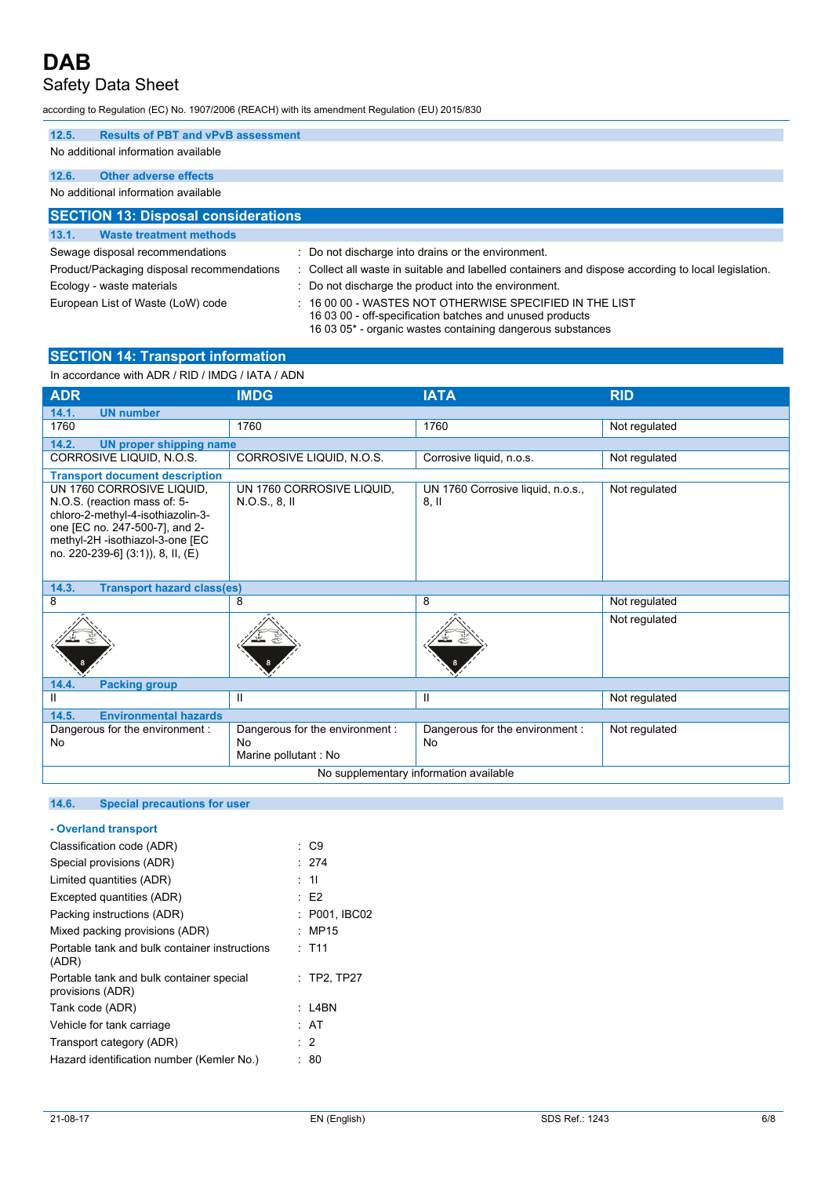## Safety Data Sheet

according to Regulation (EC) No. 1907/2006 (REACH) with its amendment Regulation (EU) 2015/830

| <b>Results of PBT and vPvB assessment</b><br>12.5. |                                                                                                                                                                                       |
|----------------------------------------------------|---------------------------------------------------------------------------------------------------------------------------------------------------------------------------------------|
| No additional information available                |                                                                                                                                                                                       |
| <b>Other adverse effects</b><br>12.6.              |                                                                                                                                                                                       |
| No additional information available                |                                                                                                                                                                                       |
| <b>SECTION 13: Disposal considerations</b>         |                                                                                                                                                                                       |
| <b>Waste treatment methods</b><br>13.1.            |                                                                                                                                                                                       |
| Sewage disposal recommendations                    | : Do not discharge into drains or the environment.                                                                                                                                    |
| Product/Packaging disposal recommendations         | : Collect all waste in suitable and labelled containers and dispose according to local legislation.                                                                                   |
| Ecology - waste materials                          | : Do not discharge the product into the environment.                                                                                                                                  |
| European List of Waste (LoW) code                  | $\pm$ 16 00 00 - WASTES NOT OTHERWISE SPECIFIED IN THE LIST<br>16 03 00 - off-specification batches and unused products<br>16 03 05* - organic wastes containing dangerous substances |

#### **SECTION 14: Transport information**

In accordance with ADR / RID / IMDG / IATA / ADN

| <b>ADR</b>                                                                                                                                                                                               | <b>IMDG</b>                                | <b>IATA</b>                               | <b>RID</b>    |
|----------------------------------------------------------------------------------------------------------------------------------------------------------------------------------------------------------|--------------------------------------------|-------------------------------------------|---------------|
| 14.1.<br><b>UN number</b>                                                                                                                                                                                |                                            |                                           |               |
| 1760                                                                                                                                                                                                     | 1760                                       | 1760                                      | Not regulated |
| 14.2.<br><b>UN proper shipping name</b>                                                                                                                                                                  |                                            |                                           |               |
| CORROSIVE LIQUID, N.O.S.                                                                                                                                                                                 | CORROSIVE LIQUID, N.O.S.                   | Corrosive liquid, n.o.s.                  | Not regulated |
| <b>Transport document description</b>                                                                                                                                                                    |                                            |                                           |               |
| UN 1760 CORROSIVE LIQUID,<br>N.O.S. (reaction mass of: 5-<br>chloro-2-methyl-4-isothiazolin-3-<br>one [EC no. 247-500-7], and 2-<br>methyl-2H -isothiazol-3-one [EC<br>no. 220-239-6] (3:1)), 8, II, (E) | UN 1760 CORROSIVE LIQUID,<br>N.O.S., 8, II | UN 1760 Corrosive liquid, n.o.s.,<br>8.11 | Not regulated |
| 14.3.<br><b>Transport hazard class(es)</b>                                                                                                                                                               |                                            |                                           |               |
| 8                                                                                                                                                                                                        | 8                                          | 8                                         | Not regulated |
|                                                                                                                                                                                                          |                                            |                                           | Not regulated |
| 14.4.<br><b>Packing group</b>                                                                                                                                                                            |                                            |                                           |               |
| $\mathbf{H}$                                                                                                                                                                                             | Ш                                          | Ш                                         | Not regulated |
| <b>Environmental hazards</b><br>14.5.                                                                                                                                                                    |                                            |                                           |               |
| Dangerous for the environment :                                                                                                                                                                          | Dangerous for the environment :            | Dangerous for the environment :           | Not regulated |
| <b>No</b>                                                                                                                                                                                                | <b>No</b><br>Marine pollutant : No         | No                                        |               |
|                                                                                                                                                                                                          |                                            | No supplementary information available    |               |
|                                                                                                                                                                                                          |                                            |                                           |               |

## **14.6. Special precautions for user**

| - Overland transport                                         |                |
|--------------------------------------------------------------|----------------|
| Classification code (ADR)                                    | : C9           |
| Special provisions (ADR)                                     | .274           |
| Limited quantities (ADR)                                     | : 11           |
| Excepted quantities (ADR)                                    | : E2           |
| Packing instructions (ADR)                                   | : P001.IBC02   |
| Mixed packing provisions (ADR)                               | : MP15         |
| Portable tank and bulk container instructions<br>(ADR)       | $\cdot$ T11    |
| Portable tank and bulk container special<br>provisions (ADR) | $:$ TP2, TP27  |
| Tank code (ADR)                                              | : L4BN         |
| Vehicle for tank carriage                                    | : AT           |
| Transport category (ADR)                                     | $\therefore$ 2 |
| Hazard identification number (Kemler No.)                    | : 80           |
|                                                              |                |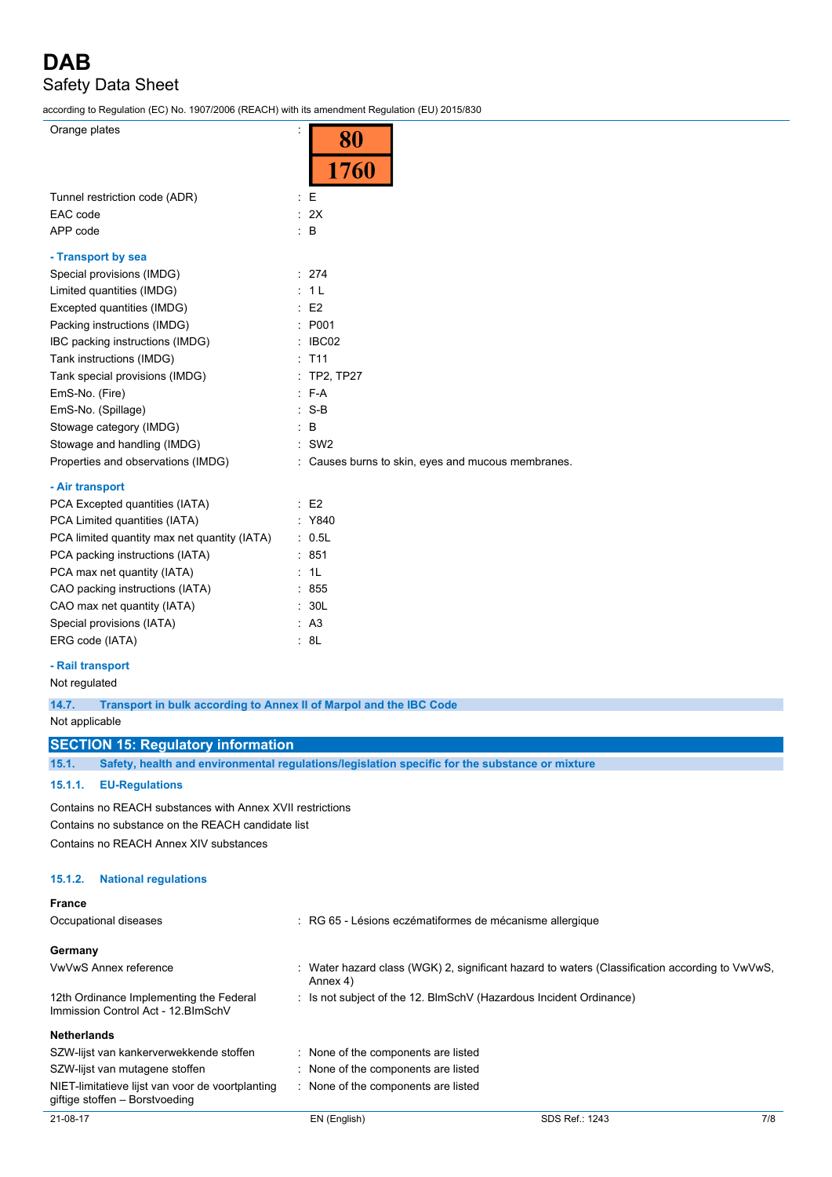# **DAB** Safety Data Sheet

according to Regulation (EC) No. 1907/2006 (REACH) with its amendment Regulation (EU) 2015/830

 $\overline{\phantom{a}}$ 

Orange plates :

| Orange plates                                | 80                                               |
|----------------------------------------------|--------------------------------------------------|
|                                              | 1760                                             |
| Tunnel restriction code (ADR)                | E                                                |
| EAC code                                     | : 2X                                             |
| APP code                                     | $\mathbf{B}$                                     |
| - Transport by sea                           |                                                  |
| Special provisions (IMDG)                    | : 274                                            |
| Limited quantities (IMDG)                    | 1 <sub>L</sub>                                   |
| Excepted quantities (IMDG)                   | E <sub>2</sub>                                   |
| Packing instructions (IMDG)                  | P001                                             |
| IBC packing instructions (IMDG)              | IBC02                                            |
| Tank instructions (IMDG)                     | T <sub>11</sub>                                  |
| Tank special provisions (IMDG)               | <b>TP2, TP27</b>                                 |
| EmS-No. (Fire)                               | $F-A$                                            |
| EmS-No. (Spillage)                           | $S-B$                                            |
| Stowage category (IMDG)                      | B                                                |
| Stowage and handling (IMDG)                  | SW <sub>2</sub>                                  |
| Properties and observations (IMDG)           | Causes burns to skin, eyes and mucous membranes. |
| - Air transport                              |                                                  |
| PCA Excepted quantities (IATA)               | E <sub>2</sub>                                   |
| PCA Limited quantities (IATA)                | Y840                                             |
| PCA limited quantity max net quantity (IATA) | 0.5L                                             |
| PCA packing instructions (IATA)              | 851                                              |
| PCA max net quantity (IATA)                  | 1L                                               |
| CAO packing instructions (IATA)              | 855                                              |
| CAO max net quantity (IATA)                  | 30L                                              |
| Special provisions (IATA)                    | A <sub>3</sub>                                   |

#### **- Rail transport**

Not regulated

**14.7. Transport in bulk according to Annex II of Marpol and the IBC Code**

Not applicable

#### **SECTION 15: Regulatory information**

ERG code (IATA)  $\qquad \qquad : 8L$ 

**15.1. Safety, health and environmental regulations/legislation specific for the substance or mixture**

#### **15.1.1. EU-Regulations**

Contains no REACH substances with Annex XVII restrictions Contains no substance on the REACH candidate list Contains no REACH Annex XIV substances

#### **15.1.2. National regulations**

| <b>France</b>                                                                      |                                                                                                            |
|------------------------------------------------------------------------------------|------------------------------------------------------------------------------------------------------------|
| Occupational diseases                                                              | RG 65 - Lésions eczématiformes de mécanisme allergique                                                     |
| Germany                                                                            |                                                                                                            |
| VwVwS Annex reference                                                              | : Water hazard class (WGK) 2, significant hazard to waters (Classification according to VwVwS,<br>Annex 4) |
| 12th Ordinance Implementing the Federal<br>Immission Control Act - 12 BlmSchV      | : Is not subject of the 12. BlmSchV (Hazardous Incident Ordinance)                                         |
| <b>Netherlands</b>                                                                 |                                                                                                            |
| SZW-lijst van kankerverwekkende stoffen                                            | None of the components are listed                                                                          |
| SZW-lijst van mutagene stoffen                                                     | : None of the components are listed                                                                        |
| NIET-limitatieve lijst van voor de voortplanting<br>giftige stoffen - Borstvoeding | None of the components are listed                                                                          |
|                                                                                    |                                                                                                            |